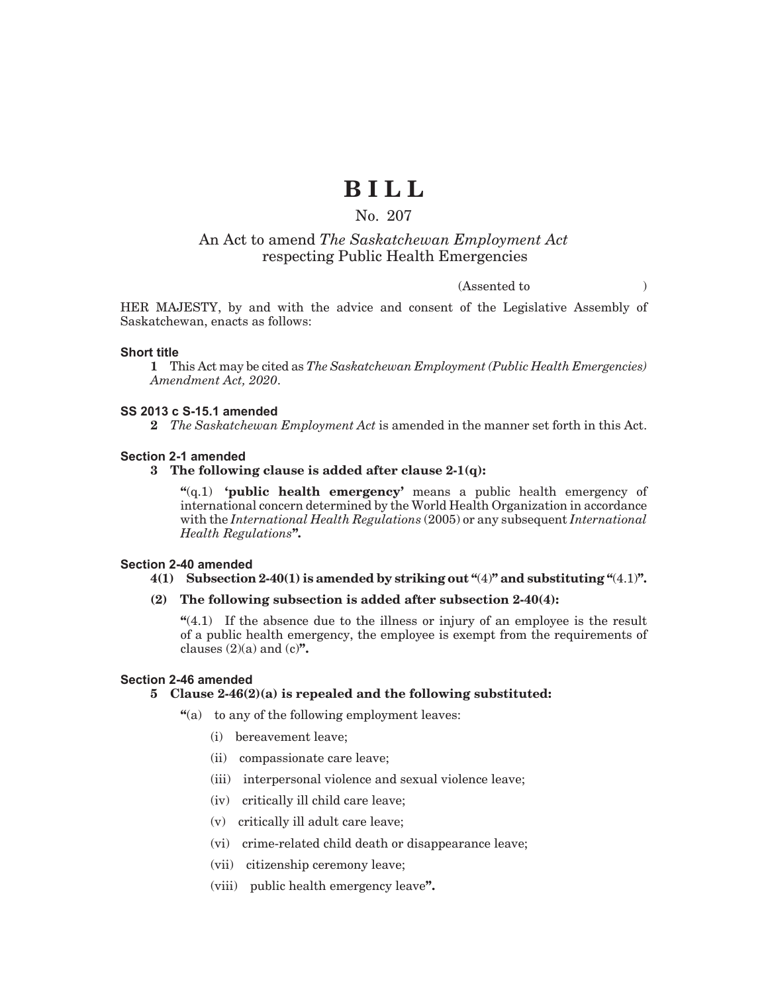# **B I L L**

# No. 207

# An Act to amend *The Saskatchewan Employment Act* respecting Public Health Emergencies

# (Assented to )

HER MAJESTY, by and with the advice and consent of the Legislative Assembly of Saskatchewan, enacts as follows:

## **Short title**

**1** This Act may be cited as *The Saskatchewan Employment (Public Health Emergencies) Amendment Act, 2020*.

#### **SS 2013 c S-15.1 amended**

**2** *The Saskatchewan Employment Act* is amended in the manner set forth in this Act.

#### **Section 2-1 amended**

# **3 The following clause is added after clause 2-1(q):**

**"**(q.1) **'public health emergency'** means a public health emergency of international concern determined by the World Health Organization in accordance with the *International Health Regulations* (2005) or any subsequent *International Health Regulations***".**

#### **Section 2-40 amended**

## **4(1) Subsection 2-40(1) is amended by striking out "**(4)**" and substituting "**(4.1)**".**

### **(2) The following subsection is added after subsection 2-40(4):**

**"**(4.1) If the absence due to the illness or injury of an employee is the result of a public health emergency, the employee is exempt from the requirements of clauses  $(2)(a)$  and  $(c)$ **"**.

#### **Section 2-46 amended**

### **5 Clause 2-46(2)(a) is repealed and the following substituted:**

- **"**(a) to any of the following employment leaves:
	- (i) bereavement leave;
	- (ii) compassionate care leave;
	- (iii) interpersonal violence and sexual violence leave;
	- (iv) critically ill child care leave;
	- (v) critically ill adult care leave;
	- (vi) crime-related child death or disappearance leave;
	- (vii) citizenship ceremony leave;
	- (viii) public health emergency leave**".**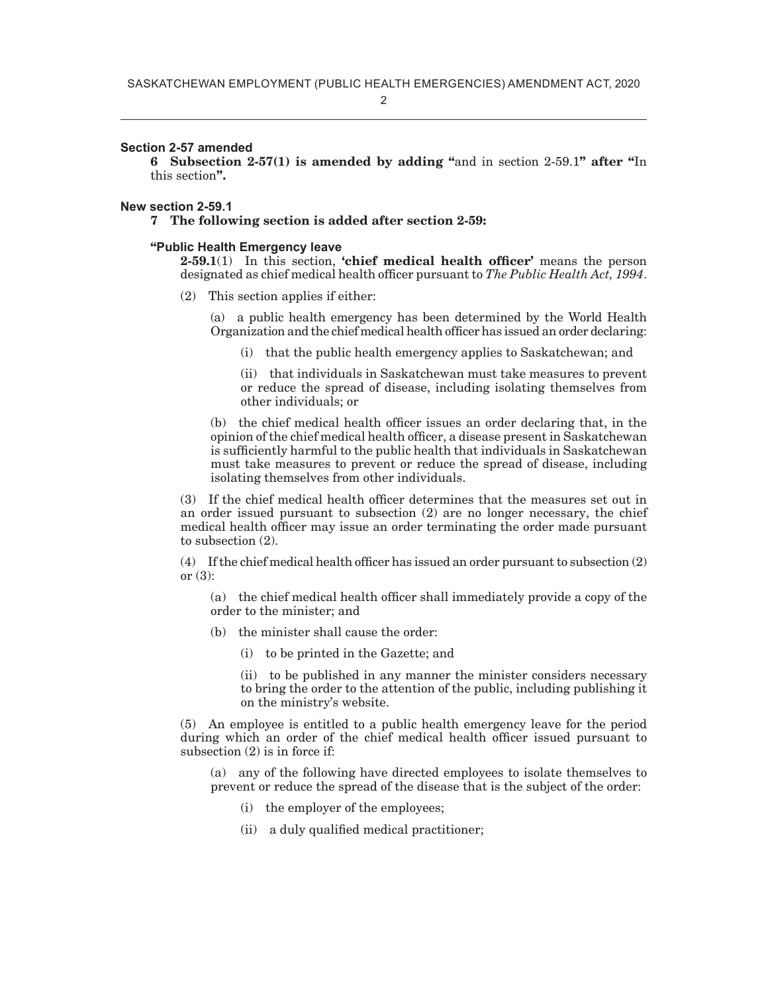2

#### **Section 2-57 amended**

**6 Subsection 2-57(1) is amended by adding "**and in section 2-59.1**" after "**In this section**".**

#### **New section 2-59.1**

**7 The following section is added after section 2-59:**

#### **"Public Health Emergency leave**

**2-59.1**(1) In this section, **'chief medical health officer'** means the person designated as chief medical health officer pursuant to *The Public Health Act, 1994*.

(2) This section applies if either:

(a) a public health emergency has been determined by the World Health Organization and the chief medical health officer has issued an order declaring:

(i) that the public health emergency applies to Saskatchewan; and

(ii) that individuals in Saskatchewan must take measures to prevent or reduce the spread of disease, including isolating themselves from other individuals; or

(b) the chief medical health officer issues an order declaring that, in the opinion of the chief medical health officer, a disease present in Saskatchewan is sufficiently harmful to the public health that individuals in Saskatchewan must take measures to prevent or reduce the spread of disease, including isolating themselves from other individuals.

(3) If the chief medical health officer determines that the measures set out in an order issued pursuant to subsection (2) are no longer necessary, the chief medical health officer may issue an order terminating the order made pursuant to subsection (2).

(4) If the chief medical health officer has issued an order pursuant to subsection (2) or  $(3)$ :

(a) the chief medical health officer shall immediately provide a copy of the order to the minister; and

- (b) the minister shall cause the order:
	- (i) to be printed in the Gazette; and

(ii) to be published in any manner the minister considers necessary to bring the order to the attention of the public, including publishing it on the ministry's website.

(5) An employee is entitled to a public health emergency leave for the period during which an order of the chief medical health officer issued pursuant to subsection (2) is in force if:

(a) any of the following have directed employees to isolate themselves to prevent or reduce the spread of the disease that is the subject of the order:

- (i) the employer of the employees;
- (ii) a duly qualified medical practitioner;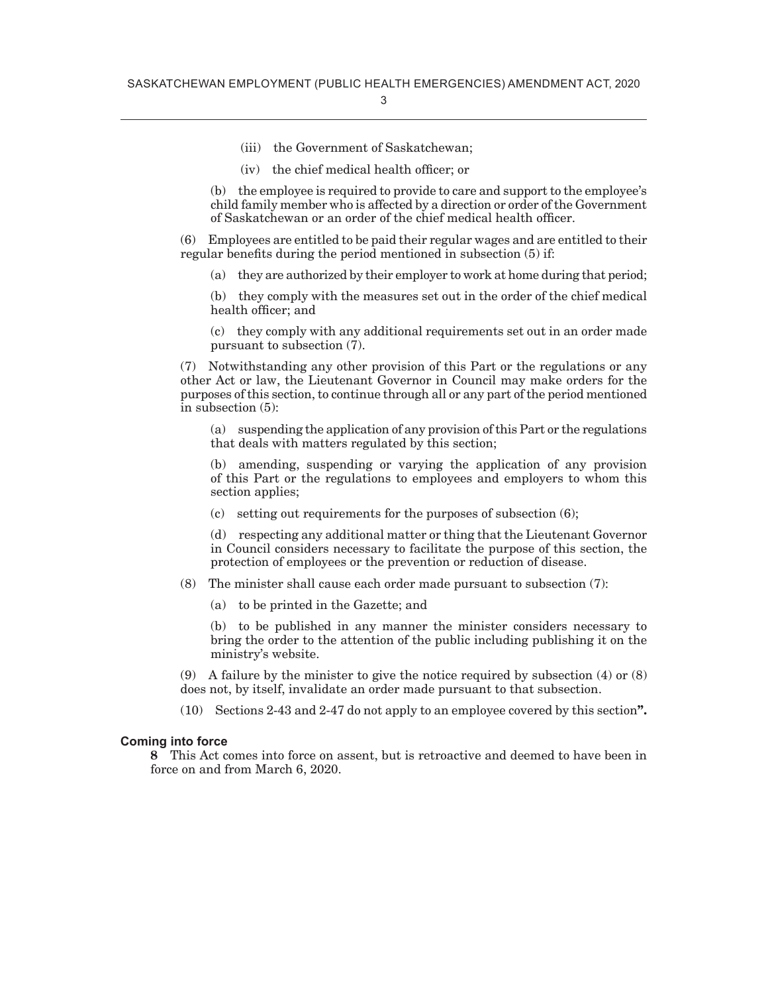- (iii) the Government of Saskatchewan;
- (iv) the chief medical health officer; or

(b) the employee is required to provide to care and support to the employee's child family member who is affected by a direction or order of the Government of Saskatchewan or an order of the chief medical health officer.

(6) Employees are entitled to be paid their regular wages and are entitled to their regular benefits during the period mentioned in subsection (5) if:

(a) they are authorized by their employer to work at home during that period;

(b) they comply with the measures set out in the order of the chief medical health officer; and

(c) they comply with any additional requirements set out in an order made pursuant to subsection (7).

(7) Notwithstanding any other provision of this Part or the regulations or any other Act or law, the Lieutenant Governor in Council may make orders for the purposes of this section, to continue through all or any part of the period mentioned in subsection (5):

(a) suspending the application of any provision of this Part or the regulations that deals with matters regulated by this section;

(b) amending, suspending or varying the application of any provision of this Part or the regulations to employees and employers to whom this section applies;

(c) setting out requirements for the purposes of subsection (6);

(d) respecting any additional matter or thing that the Lieutenant Governor in Council considers necessary to facilitate the purpose of this section, the protection of employees or the prevention or reduction of disease.

- (8) The minister shall cause each order made pursuant to subsection (7):
	- (a) to be printed in the Gazette; and

(b) to be published in any manner the minister considers necessary to bring the order to the attention of the public including publishing it on the ministry's website.

(9) A failure by the minister to give the notice required by subsection (4) or (8) does not, by itself, invalidate an order made pursuant to that subsection.

(10) Sections 2-43 and 2-47 do not apply to an employee covered by this section**".**

#### **Coming into force**

**8** This Act comes into force on assent, but is retroactive and deemed to have been in force on and from March 6, 2020.